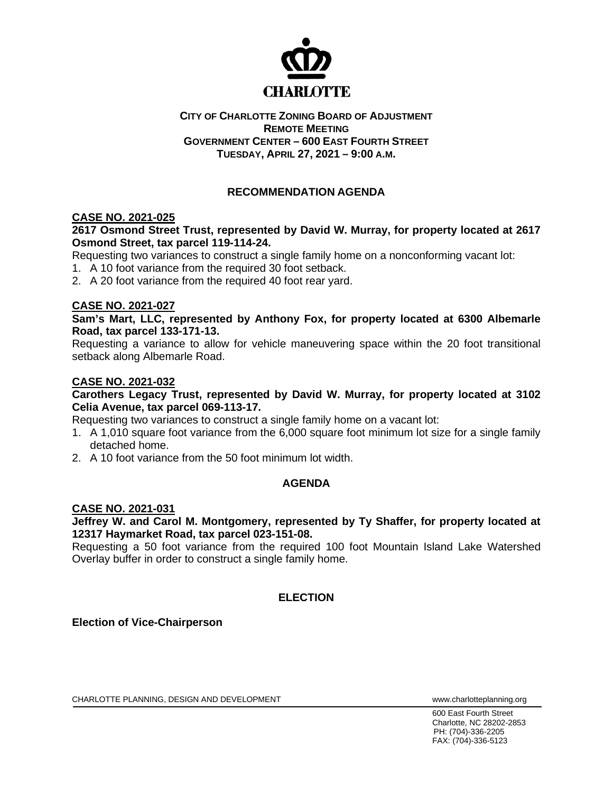

#### **CITY OF CHARLOTTE ZONING BOARD OF ADJUSTMENT REMOTE MEETING GOVERNMENT CENTER – 600 EAST FOURTH STREET TUESDAY, APRIL 27, 2021 – 9:00 A.M.**

# **RECOMMENDATION AGENDA**

## **CASE NO. 2021-025**

### **2617 Osmond Street Trust, represented by David W. Murray, for property located at 2617 Osmond Street, tax parcel 119-114-24.**

Requesting two variances to construct a single family home on a nonconforming vacant lot:

- 1. A 10 foot variance from the required 30 foot setback.
- 2. A 20 foot variance from the required 40 foot rear yard.

#### **CASE NO. 2021-027**

**Sam's Mart, LLC, represented by Anthony Fox, for property located at 6300 Albemarle Road, tax parcel 133-171-13.**

Requesting a variance to allow for vehicle maneuvering space within the 20 foot transitional setback along Albemarle Road.

#### **CASE NO. 2021-032**

#### **Carothers Legacy Trust, represented by David W. Murray, for property located at 3102 Celia Avenue, tax parcel 069-113-17.**

Requesting two variances to construct a single family home on a vacant lot:

- 1. A 1,010 square foot variance from the 6,000 square foot minimum lot size for a single family detached home.
- 2. A 10 foot variance from the 50 foot minimum lot width.

### **AGENDA**

#### **CASE NO. 2021-031**

**Jeffrey W. and Carol M. Montgomery, represented by Ty Shaffer, for property located at 12317 Haymarket Road, tax parcel 023-151-08.**

Requesting a 50 foot variance from the required 100 foot Mountain Island Lake Watershed Overlay buffer in order to construct a single family home.

# **ELECTION**

### **Election of Vice-Chairperson**

CHARLOTTE PLANNING, DESIGN AND DEVELOPMENT **WARE ACCOMMENT TO A CONSTRUCT CHARLOTTE** PLANNING.

600 East Fourth Street Charlotte, NC 28202-2853 PH: (704)-336-2205 FAX: (704)-336-5123